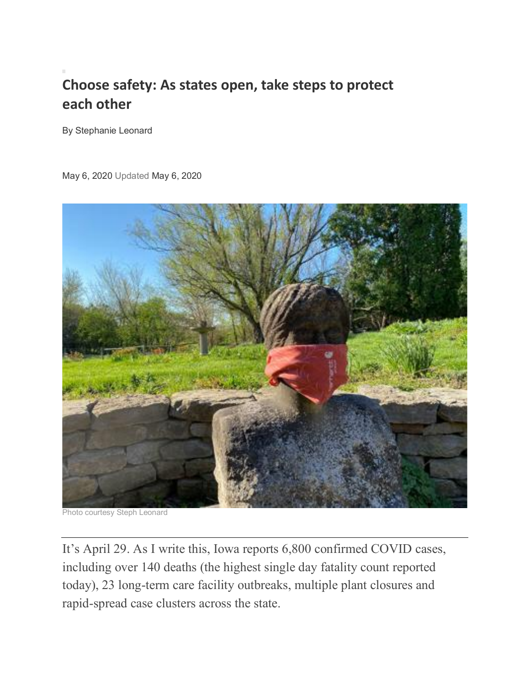## **Choose safety: As states open, take steps to protect each other**

By Stephanie Leonard

May 6, 2020 Updated May 6, 2020



Photo courtesy Steph Leonard

It's April 29. As I write this, Iowa reports 6,800 confirmed COVID cases, including over 140 deaths (the highest single day fatality count reported today), 23 long-term care facility outbreaks, multiple plant closures and rapid-spread case clusters across the state.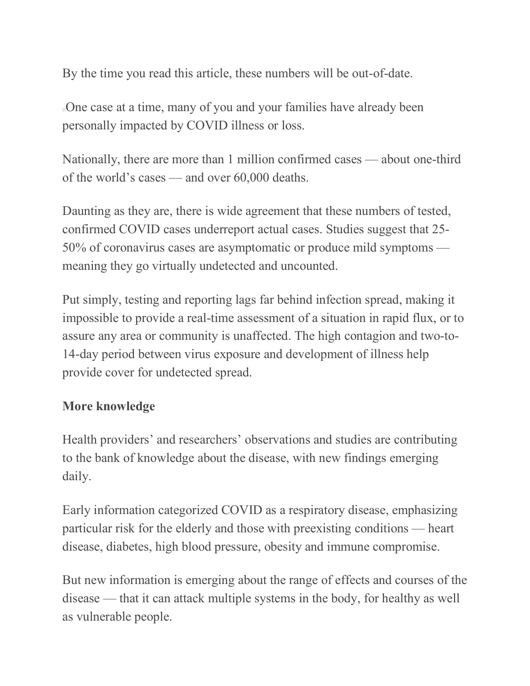By the time you read this article, these numbers will be out-of-date.

One case at a time, many of you and your families have already been personally impacted by COVID illness or loss.

Nationally, there are more than 1 million confirmed cases — about one-third of the world's cases — and over 60,000 deaths.

Daunting as they are, there is wide agreement that these numbers of tested, confirmed COVID cases underreport actual cases. Studies suggest that 25- 50% of coronavirus cases are asymptomatic or produce mild symptoms meaning they go virtually undetected and uncounted.

Put simply, testing and reporting lags far behind infection spread, making it impossible to provide a real-time assessment of a situation in rapid flux, or to assure any area or community is unaffected. The high contagion and two-to-14-day period between virus exposure and development of illness help provide cover for undetected spread.

## **More knowledge**

Health providers' and researchers' observations and studies are contributing to the bank of knowledge about the disease, with new findings emerging daily.

Early information categorized COVID as a respiratory disease, emphasizing particular risk for the elderly and those with preexisting conditions — heart disease, diabetes, high blood pressure, obesity and immune compromise.

But new information is emerging about the range of effects and courses of the disease — that it can attack multiple systems in the body, for healthy as well as vulnerable people.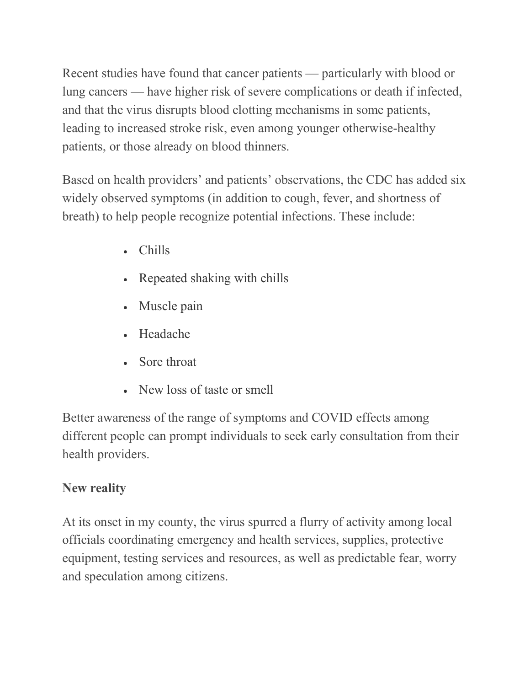Recent studies have found that cancer patients — particularly with blood or lung cancers — have higher risk of severe complications or death if infected, and that the virus disrupts blood clotting mechanisms in some patients, leading to increased stroke risk, even among younger otherwise-healthy patients, or those already on blood thinners.

Based on health providers' and patients' observations, the CDC has added six widely observed symptoms (in addition to cough, fever, and shortness of breath) to help people recognize potential infections. These include:

- Chills
- Repeated shaking with chills
- Muscle pain
- Headache
- Sore throat
- New loss of taste or smell

Better awareness of the range of symptoms and COVID effects among different people can prompt individuals to seek early consultation from their health providers.

## **New reality**

At its onset in my county, the virus spurred a flurry of activity among local officials coordinating emergency and health services, supplies, protective equipment, testing services and resources, as well as predictable fear, worry and speculation among citizens.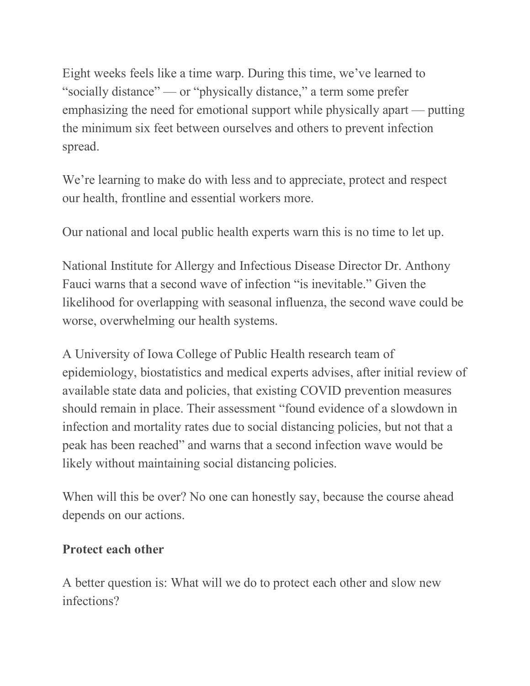Eight weeks feels like a time warp. During this time, we've learned to "socially distance" — or "physically distance," a term some prefer emphasizing the need for emotional support while physically apart — putting the minimum six feet between ourselves and others to prevent infection spread.

We're learning to make do with less and to appreciate, protect and respect our health, frontline and essential workers more.

Our national and local public health experts warn this is no time to let up.

National Institute for Allergy and Infectious Disease Director Dr. Anthony Fauci warns that a second wave of infection "is inevitable." Given the likelihood for overlapping with seasonal influenza, the second wave could be worse, overwhelming our health systems.

A University of Iowa College of Public Health research team of epidemiology, biostatistics and medical experts advises, after initial review of available state data and policies, that existing COVID prevention measures should remain in place. Their assessment "found evidence of a slowdown in infection and mortality rates due to social distancing policies, but not that a peak has been reached" and warns that a second infection wave would be likely without maintaining social distancing policies.

When will this be over? No one can honestly say, because the course ahead depends on our actions.

## **Protect each other**

A better question is: What will we do to protect each other and slow new infections?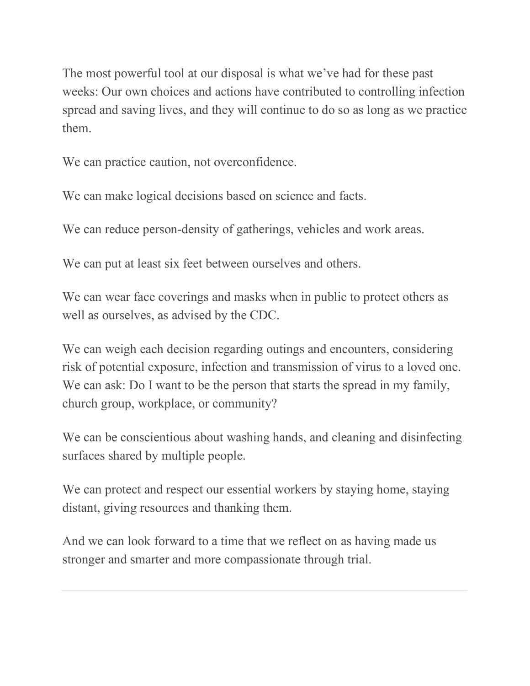The most powerful tool at our disposal is what we've had for these past weeks: Our own choices and actions have contributed to controlling infection spread and saving lives, and they will continue to do so as long as we practice them.

We can practice caution, not overconfidence.

We can make logical decisions based on science and facts.

We can reduce person-density of gatherings, vehicles and work areas.

We can put at least six feet between ourselves and others.

We can wear face coverings and masks when in public to protect others as well as ourselves, as advised by the CDC.

We can weigh each decision regarding outings and encounters, considering risk of potential exposure, infection and transmission of virus to a loved one. We can ask: Do I want to be the person that starts the spread in my family, church group, workplace, or community?

We can be conscientious about washing hands, and cleaning and disinfecting surfaces shared by multiple people.

We can protect and respect our essential workers by staying home, staying distant, giving resources and thanking them.

And we can look forward to a time that we reflect on as having made us stronger and smarter and more compassionate through trial.